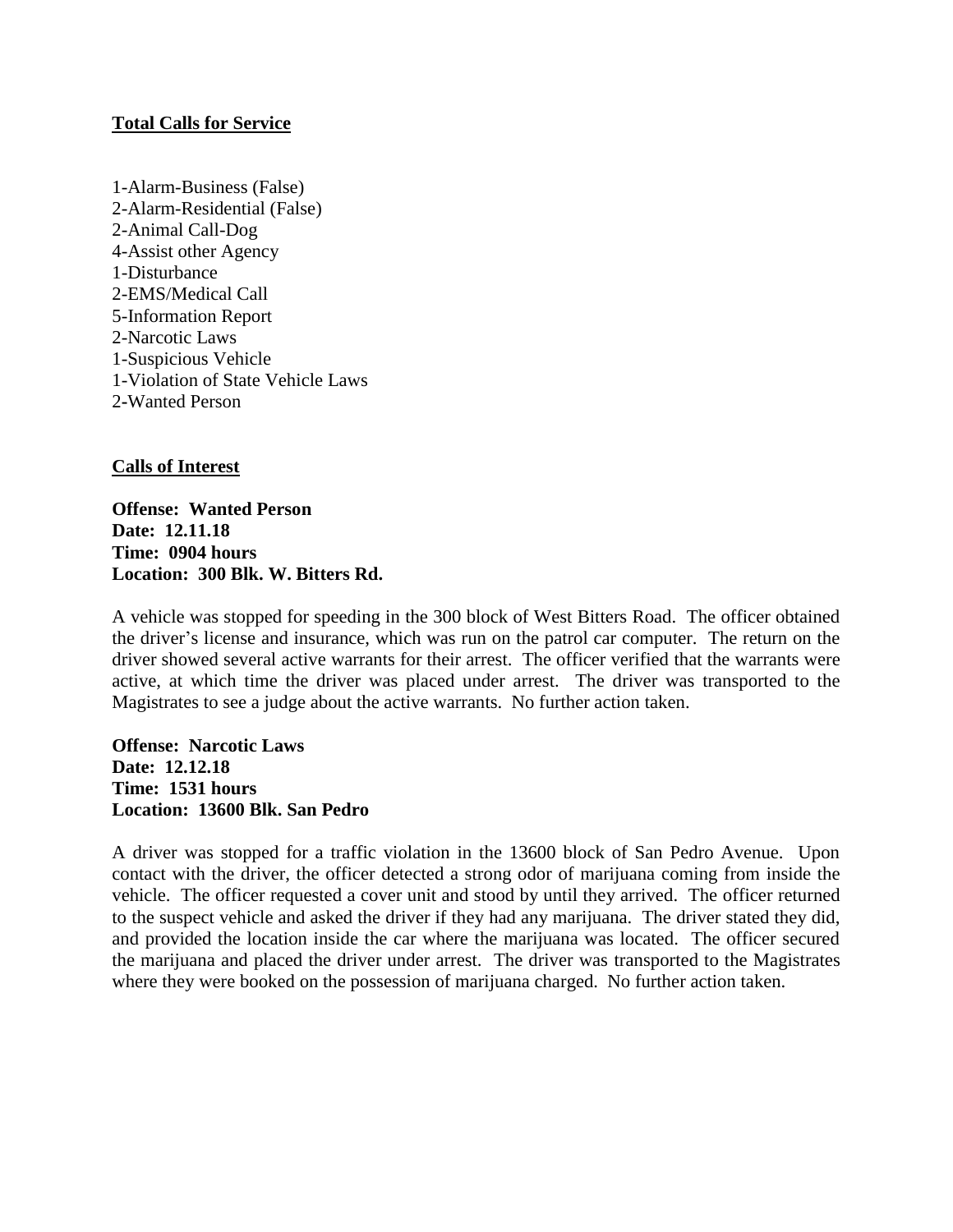# **Total Calls for Service**

1-Alarm-Business (False) 2-Alarm-Residential (False) 2-Animal Call-Dog 4-Assist other Agency 1-Disturbance 2-EMS/Medical Call 5-Information Report 2-Narcotic Laws 1-Suspicious Vehicle 1-Violation of State Vehicle Laws 2**-**Wanted Person

# **Calls of Interest**

**Offense: Wanted Person Date: 12.11.18 Time: 0904 hours Location: 300 Blk. W. Bitters Rd.**

A vehicle was stopped for speeding in the 300 block of West Bitters Road. The officer obtained the driver's license and insurance, which was run on the patrol car computer. The return on the driver showed several active warrants for their arrest. The officer verified that the warrants were active, at which time the driver was placed under arrest. The driver was transported to the Magistrates to see a judge about the active warrants. No further action taken.

**Offense: Narcotic Laws Date: 12.12.18 Time: 1531 hours Location: 13600 Blk. San Pedro**

A driver was stopped for a traffic violation in the 13600 block of San Pedro Avenue. Upon contact with the driver, the officer detected a strong odor of marijuana coming from inside the vehicle. The officer requested a cover unit and stood by until they arrived. The officer returned to the suspect vehicle and asked the driver if they had any marijuana. The driver stated they did, and provided the location inside the car where the marijuana was located. The officer secured the marijuana and placed the driver under arrest. The driver was transported to the Magistrates where they were booked on the possession of marijuana charged. No further action taken.